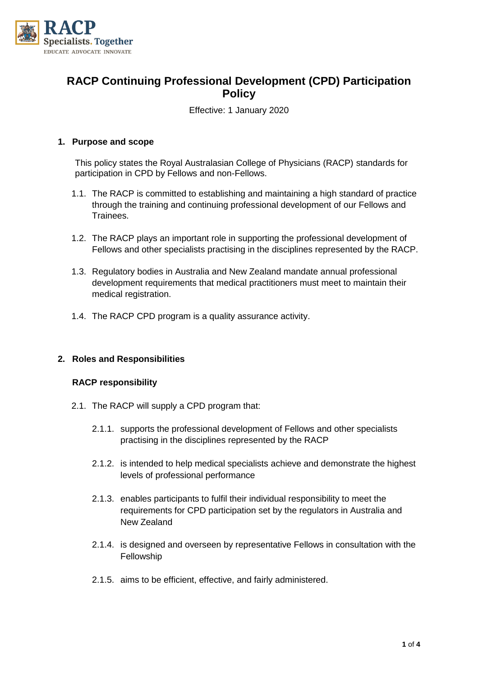

# **RACP Continuing Professional Development (CPD) Participation Policy**

Effective: 1 January 2020

### **1. Purpose and scope**

This policy states the Royal Australasian College of Physicians (RACP) standards for participation in CPD by Fellows and non-Fellows.

- 1.1. The RACP is committed to establishing and maintaining a high standard of practice through the training and continuing professional development of our Fellows and Trainees.
- 1.2. The RACP plays an important role in supporting the professional development of Fellows and other specialists practising in the disciplines represented by the RACP.
- 1.3. Regulatory bodies in Australia and New Zealand mandate annual professional development requirements that medical practitioners must meet to maintain their medical registration.
- 1.4. The RACP CPD program is a quality assurance activity.

### **2. Roles and Responsibilities**

### **RACP responsibility**

- 2.1. The RACP will supply a CPD program that:
	- 2.1.1. supports the professional development of Fellows and other specialists practising in the disciplines represented by the RACP
	- 2.1.2. is intended to help medical specialists achieve and demonstrate the highest levels of professional performance
	- 2.1.3. enables participants to fulfil their individual responsibility to meet the requirements for CPD participation set by the regulators in Australia and New Zealand
	- 2.1.4. is designed and overseen by representative Fellows in consultation with the Fellowship
	- 2.1.5. aims to be efficient, effective, and fairly administered.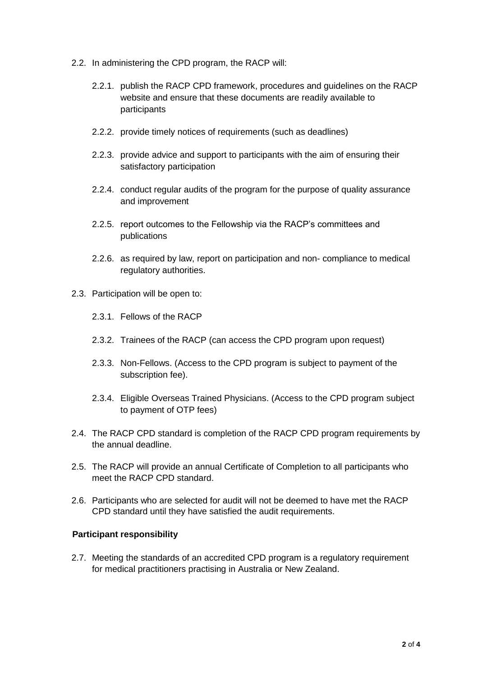- 2.2. In administering the CPD program, the RACP will:
	- 2.2.1. publish the RACP CPD framework, procedures and guidelines on the RACP website and ensure that these documents are readily available to participants
	- 2.2.2. provide timely notices of requirements (such as deadlines)
	- 2.2.3. provide advice and support to participants with the aim of ensuring their satisfactory participation
	- 2.2.4. conduct regular audits of the program for the purpose of quality assurance and improvement
	- 2.2.5. report outcomes to the Fellowship via the RACP's committees and publications
	- 2.2.6. as required by law, report on participation and non- compliance to medical regulatory authorities.
- 2.3. Participation will be open to:
	- 2.3.1. Fellows of the RACP
	- 2.3.2. Trainees of the RACP (can access the CPD program upon request)
	- 2.3.3. Non-Fellows. (Access to the CPD program is subject to payment of the subscription fee).
	- 2.3.4. Eligible Overseas Trained Physicians. (Access to the CPD program subject to payment of OTP fees)
- 2.4. The RACP CPD standard is completion of the RACP CPD program requirements by the annual deadline.
- 2.5. The RACP will provide an annual Certificate of Completion to all participants who meet the RACP CPD standard.
- 2.6. Participants who are selected for audit will not be deemed to have met the RACP CPD standard until they have satisfied the audit requirements.

### **Participant responsibility**

2.7. Meeting the standards of an accredited CPD program is a regulatory requirement for medical practitioners practising in Australia or New Zealand.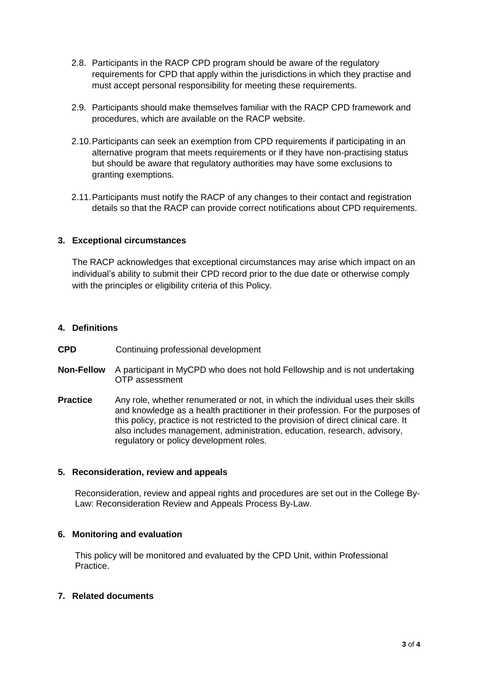- 2.8. Participants in the RACP CPD program should be aware of the regulatory requirements for CPD that apply within the jurisdictions in which they practise and must accept personal responsibility for meeting these requirements.
- 2.9. Participants should make themselves familiar with the RACP CPD framework and procedures, which are available on the RACP website.
- 2.10.Participants can seek an exemption from CPD requirements if participating in an alternative program that meets requirements or if they have non-practising status but should be aware that regulatory authorities may have some exclusions to granting exemptions.
- 2.11.Participants must notify the RACP of any changes to their contact and registration details so that the RACP can provide correct notifications about CPD requirements.

#### **3. Exceptional circumstances**

The RACP acknowledges that exceptional circumstances may arise which impact on an individual's ability to submit their CPD record prior to the due date or otherwise comply with the principles or eligibility criteria of this Policy.

## **4. Definitions**

- **CPD** Continuing professional development
- **Non-Fellow** A participant in MyCPD who does not hold Fellowship and is not undertaking OTP assessment
- **Practice** Any role, whether renumerated or not, in which the individual uses their skills and knowledge as a health practitioner in their profession. For the purposes of this policy, practice is not restricted to the provision of direct clinical care. It also includes management, administration, education, research, advisory, regulatory or policy development roles.

#### **5. Reconsideration, review and appeals**

Reconsideration, review and appeal rights and procedures are set out in the College By-Law: Reconsideration Review and Appeals Process By-Law.

### **6. Monitoring and evaluation**

This policy will be monitored and evaluated by the CPD Unit, within Professional Practice.

### **7. Related documents**